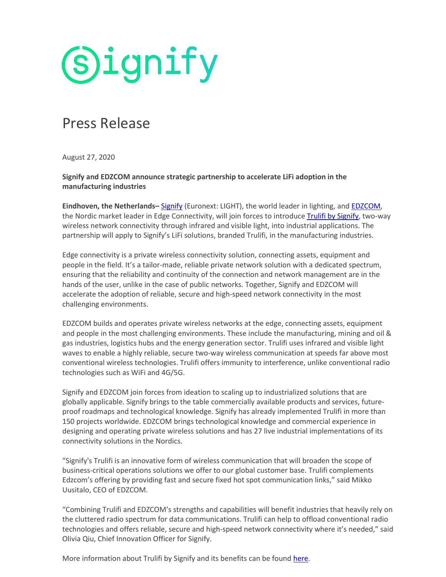

## Press Release

August 27, 2020

**Signify and EDZCOM announce strategic partnership to accelerate LiFi adoption in the manufacturing industries**

**Eindhoven, the Netherlands–** [Signify](https://www.signify.com/) (Euronext: LIGHT), the world leader in lighting, an[d EDZCOM,](http://www.edzcom.com/) the Nordic market leader in Edge Connectivity, will join forces to introduce [Trulifi by Signify,](https://www.signify.com/global/innovation/trulifi) two-way wireless network connectivity through infrared and visible light, into industrial applications. The partnership will apply to Signify's LiFi solutions, branded Trulifi, in the manufacturing industries.

Edge connectivity is a private wireless connectivity solution, connecting assets, equipment and people in the field. It's a tailor-made, reliable private network solution with a dedicated spectrum, ensuring that the reliability and continuity of the connection and network management are in the hands of the user, unlike in the case of public networks. Together, Signify and EDZCOM will accelerate the adoption of reliable, secure and high-speed network connectivity in the most challenging environments.

EDZCOM builds and operates private wireless networks at the edge, connecting assets, equipment and people in the most challenging environments. These include the manufacturing, mining and oil & gas industries, logistics hubs and the energy generation sector. Trulifi uses infrared and visible light waves to enable a highly reliable, secure two-way wireless communication at speeds far above most conventional wireless technologies. Trulifi offers immunity to interference, unlike conventional radio technologies such as WiFi and 4G/5G.

Signify and EDZCOM join forces from ideation to scaling up to industrialized solutions that are globally applicable. Signify brings to the table commercially available products and services, futureproof roadmaps and technological knowledge. Signify has already implemented Trulifi in more than 150 projects worldwide. EDZCOM brings technological knowledge and commercial experience in designing and operating private wireless solutions and has 27 live industrial implementations of its connectivity solutions in the Nordics.

"Signify's Trulifi is an innovative form of wireless communication that will broaden the scope of business-critical operations solutions we offer to our global customer base. Trulifi complements Edzcom's offering by providing fast and secure fixed hot spot communication links," said Mikko Uusitalo, CEO of EDZCOM.

"Combining Trulifi and EDZCOM's strengths and capabilities will benefit industries that heavily rely on the cluttered radio spectrum for data communications. Trulifi can help to offload conventional radio technologies and offers reliable, secure and high-speed network connectivity where it's needed," said Olivia Qiu, Chief Innovation Officer for Signify.

More information about Trulifi by Signify and its benefits can be foun[d here.](https://www.signify.com/global/innovation/trulifi)